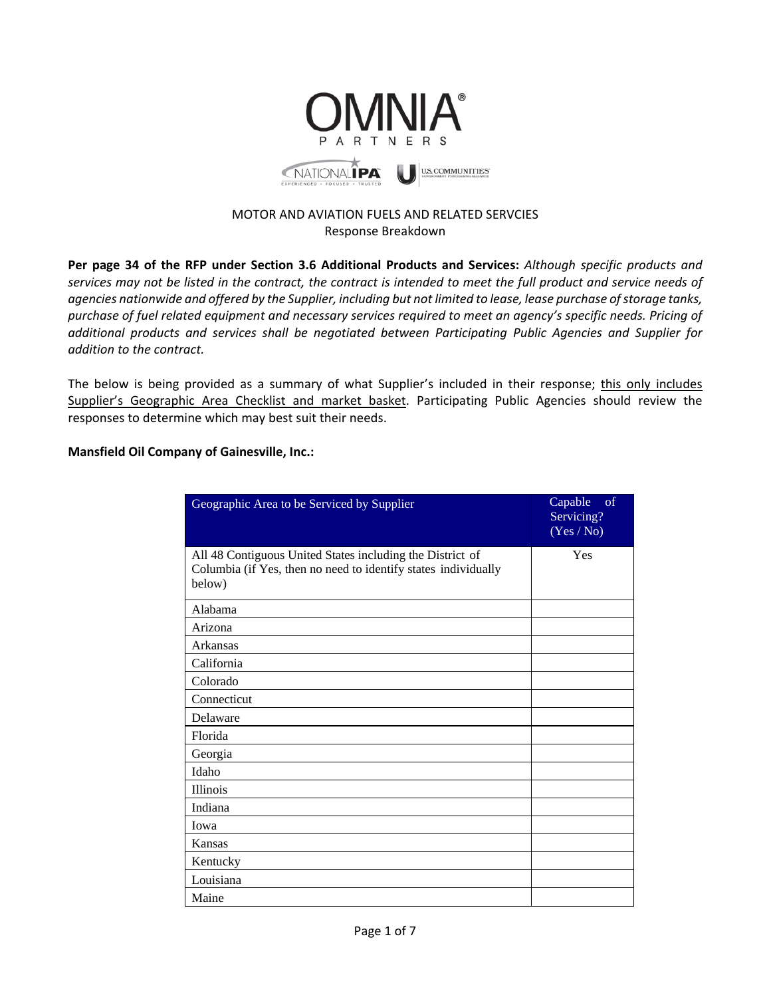

### MOTOR AND AVIATION FUELS AND RELATED SERVCIES Response Breakdown

**Per page 34 of the RFP under Section 3.6 Additional Products and Services:** *Although specific products and services may not be listed in the contract, the contract is intended to meet the full product and service needs of agencies nationwide and offered by the Supplier, including but not limited to lease, lease purchase of storage tanks, purchase of fuel related equipment and necessary services required to meet an agency's specific needs. Pricing of additional products and services shall be negotiated between Participating Public Agencies and Supplier for addition to the contract.*

The below is being provided as a summary of what Supplier's included in their response; this only includes Supplier's Geographic Area Checklist and market basket. Participating Public Agencies should review the responses to determine which may best suit their needs.

#### **Mansfield Oil Company of Gainesville, Inc.:**

| Geographic Area to be Serviced by Supplier                                                                                            | of<br>Capable<br>Servicing?<br>(Yes / No) |
|---------------------------------------------------------------------------------------------------------------------------------------|-------------------------------------------|
| All 48 Contiguous United States including the District of<br>Columbia (if Yes, then no need to identify states individually<br>below) | Yes                                       |
| Alabama                                                                                                                               |                                           |
| Arizona                                                                                                                               |                                           |
| Arkansas                                                                                                                              |                                           |
| California                                                                                                                            |                                           |
| Colorado                                                                                                                              |                                           |
| Connecticut                                                                                                                           |                                           |
| Delaware                                                                                                                              |                                           |
| Florida                                                                                                                               |                                           |
| Georgia                                                                                                                               |                                           |
| Idaho                                                                                                                                 |                                           |
| <b>Illinois</b>                                                                                                                       |                                           |
| Indiana                                                                                                                               |                                           |
| Iowa                                                                                                                                  |                                           |
| Kansas                                                                                                                                |                                           |
| Kentucky                                                                                                                              |                                           |
| Louisiana                                                                                                                             |                                           |
| Maine                                                                                                                                 |                                           |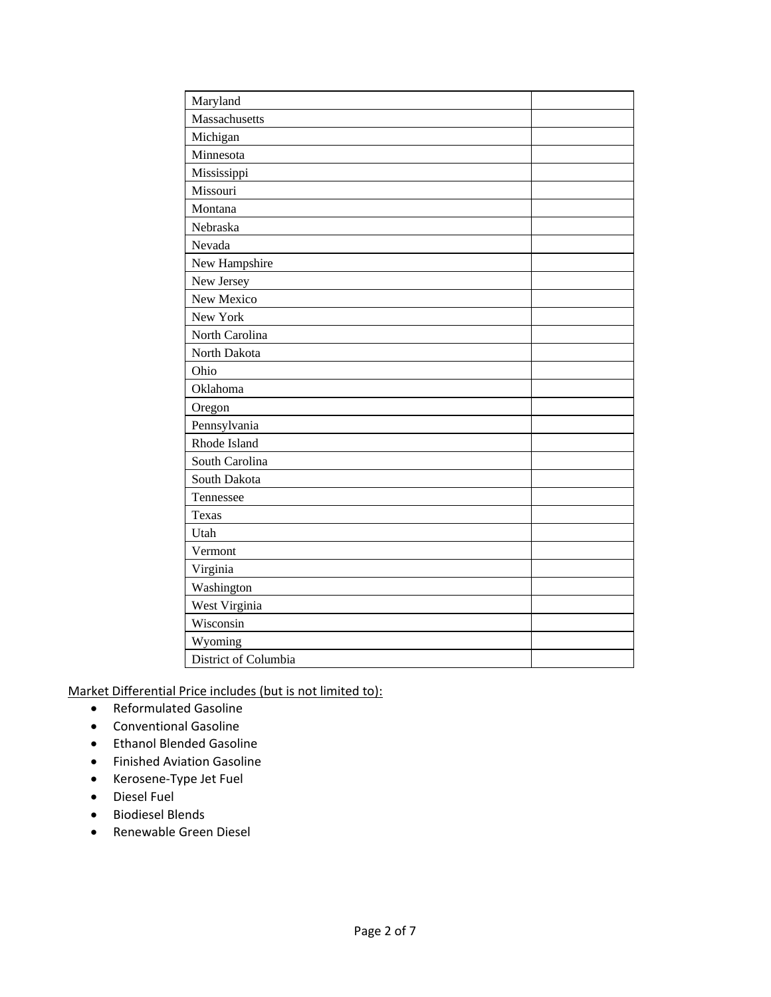| Maryland             |  |
|----------------------|--|
| Massachusetts        |  |
| Michigan             |  |
| Minnesota            |  |
| Mississippi          |  |
| Missouri             |  |
| Montana              |  |
| Nebraska             |  |
| Nevada               |  |
| New Hampshire        |  |
| New Jersey           |  |
| New Mexico           |  |
| New York             |  |
| North Carolina       |  |
| North Dakota         |  |
| Ohio                 |  |
| Oklahoma             |  |
| Oregon               |  |
| Pennsylvania         |  |
| Rhode Island         |  |
| South Carolina       |  |
| South Dakota         |  |
| Tennessee            |  |
| <b>Texas</b>         |  |
| Utah                 |  |
| Vermont              |  |
| Virginia             |  |
| Washington           |  |
| West Virginia        |  |
| Wisconsin            |  |
| Wyoming              |  |
| District of Columbia |  |

Market Differential Price includes (but is not limited to):

- Reformulated Gasoline
- Conventional Gasoline
- Ethanol Blended Gasoline
- Finished Aviation Gasoline
- Kerosene-Type Jet Fuel
- Diesel Fuel
- Biodiesel Blends
- Renewable Green Diesel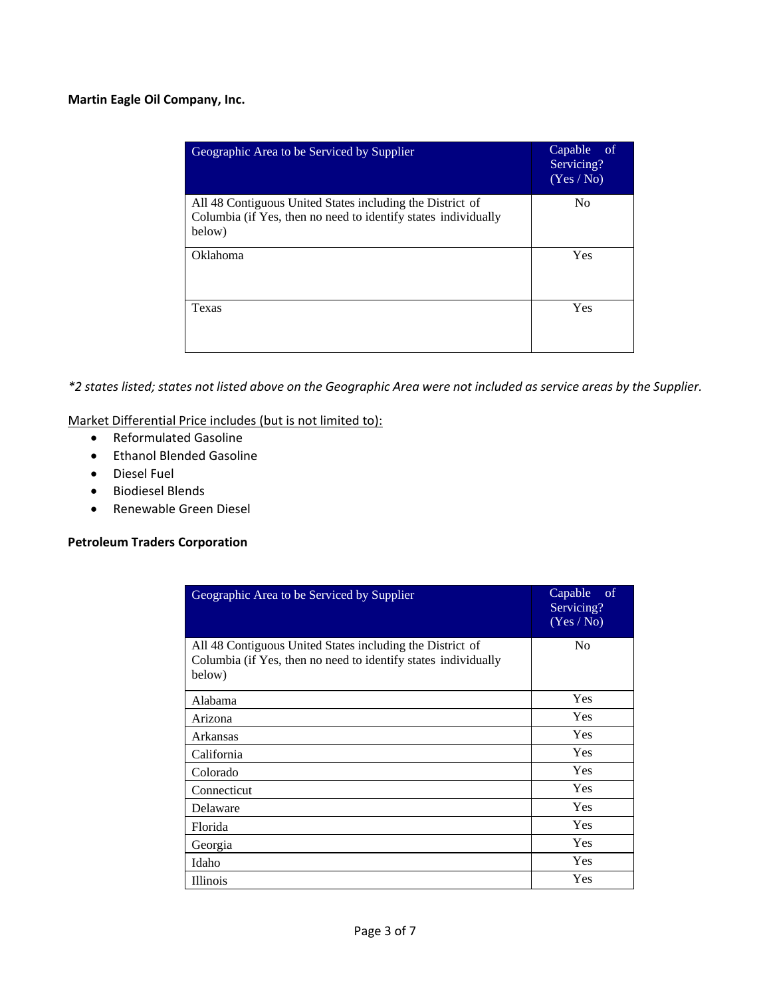## **Martin Eagle Oil Company, Inc.**

| Geographic Area to be Serviced by Supplier                                                                                            | Capable<br>- of<br>Servicing?<br>(Yes/No) |
|---------------------------------------------------------------------------------------------------------------------------------------|-------------------------------------------|
| All 48 Contiguous United States including the District of<br>Columbia (if Yes, then no need to identify states individually<br>below) | N <sub>0</sub>                            |
| Oklahoma                                                                                                                              | Yes                                       |
| Texas                                                                                                                                 | Yes                                       |

*\*2 states listed; states not listed above on the Geographic Area were not included as service areas by the Supplier.* 

Market Differential Price includes (but is not limited to):

- Reformulated Gasoline
- Ethanol Blended Gasoline
- Diesel Fuel
- Biodiesel Blends
- Renewable Green Diesel

#### **Petroleum Traders Corporation**

| Geographic Area to be Serviced by Supplier                                                                                            | Capable<br>-of<br>Servicing?<br>(Yes / No) |
|---------------------------------------------------------------------------------------------------------------------------------------|--------------------------------------------|
| All 48 Contiguous United States including the District of<br>Columbia (if Yes, then no need to identify states individually<br>below) | N <sub>0</sub>                             |
| Alabama                                                                                                                               | Yes                                        |
| Arizona                                                                                                                               | <b>Yes</b>                                 |
| Arkansas                                                                                                                              | <b>Yes</b>                                 |
| California                                                                                                                            | <b>Yes</b>                                 |
| Colorado                                                                                                                              | <b>Yes</b>                                 |
| Connecticut                                                                                                                           | <b>Yes</b>                                 |
| Delaware                                                                                                                              | <b>Yes</b>                                 |
| Florida                                                                                                                               | <b>Yes</b>                                 |
| Georgia                                                                                                                               | Yes                                        |
| Idaho                                                                                                                                 | Yes                                        |
| <b>Illinois</b>                                                                                                                       | Yes                                        |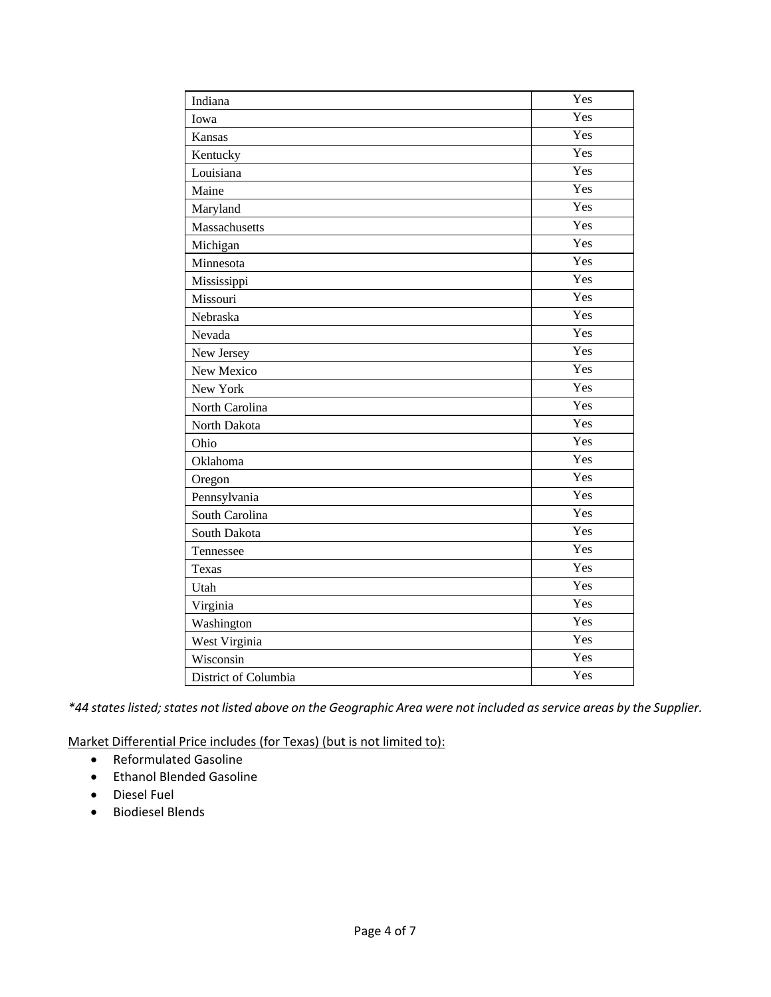| Indiana              | Yes               |
|----------------------|-------------------|
| Iowa                 | Yes               |
| Kansas               | Yes               |
| Kentucky             | Yes               |
| Louisiana            | Yes               |
| Maine                | Yes               |
| Maryland             | Yes               |
| Massachusetts        | $\overline{Y}$ es |
| Michigan             | Yes               |
| Minnesota            | Yes               |
| Mississippi          | Yes               |
| Missouri             | Yes               |
| Nebraska             | Yes               |
| Nevada               | Yes               |
| New Jersey           | Yes               |
| New Mexico           | Yes               |
| New York             | Yes               |
| North Carolina       | Yes               |
| North Dakota         | Yes               |
| Ohio                 | Yes               |
| Oklahoma             | Yes               |
| Oregon               | Yes               |
| Pennsylvania         | Yes               |
| South Carolina       | Yes               |
| South Dakota         | Yes               |
| Tennessee            | Yes               |
| Texas                | Yes               |
| Utah                 | Yes               |
| Virginia             | Yes               |
| Washington           | Yes               |
| West Virginia        | Yes               |
| Wisconsin            | Yes               |
| District of Columbia | Yes               |

*\*44 states listed; states not listed above on the Geographic Area were not included as service areas by the Supplier.* 

Market Differential Price includes (for Texas) (but is not limited to):

- Reformulated Gasoline
- Ethanol Blended Gasoline
- Diesel Fuel
- Biodiesel Blends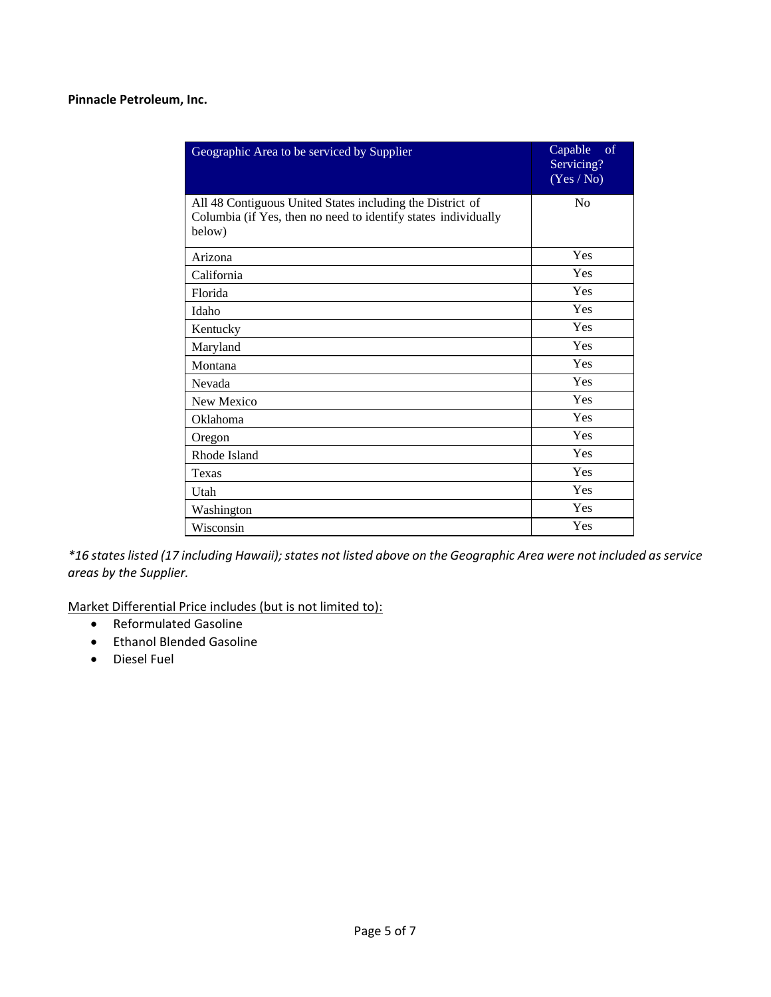#### **Pinnacle Petroleum, Inc.**

| Geographic Area to be serviced by Supplier                               | of<br>Capable<br>Servicing?<br>(Yes / No) |
|--------------------------------------------------------------------------|-------------------------------------------|
| All 48 Contiguous United States including the District of                | N <sub>0</sub>                            |
| Columbia (if Yes, then no need to identify states individually<br>below) |                                           |
| Arizona                                                                  | Yes                                       |
| California                                                               | Yes                                       |
| Florida                                                                  | Yes                                       |
| Idaho                                                                    | Yes                                       |
| Kentucky                                                                 | Yes                                       |
| Maryland                                                                 | Yes                                       |
| Montana                                                                  | Yes                                       |
| Nevada                                                                   | Yes                                       |
| New Mexico                                                               | Yes                                       |
| Oklahoma                                                                 | Yes                                       |
| Oregon                                                                   | Yes                                       |
| Rhode Island                                                             | Yes                                       |
| Texas                                                                    | Yes                                       |
| Utah                                                                     | Yes                                       |
| Washington                                                               | Yes                                       |
| Wisconsin                                                                | Yes                                       |

*\*16 states listed (17 including Hawaii); states not listed above on the Geographic Area were not included as service areas by the Supplier.*

Market Differential Price includes (but is not limited to):

- Reformulated Gasoline
- Ethanol Blended Gasoline
- Diesel Fuel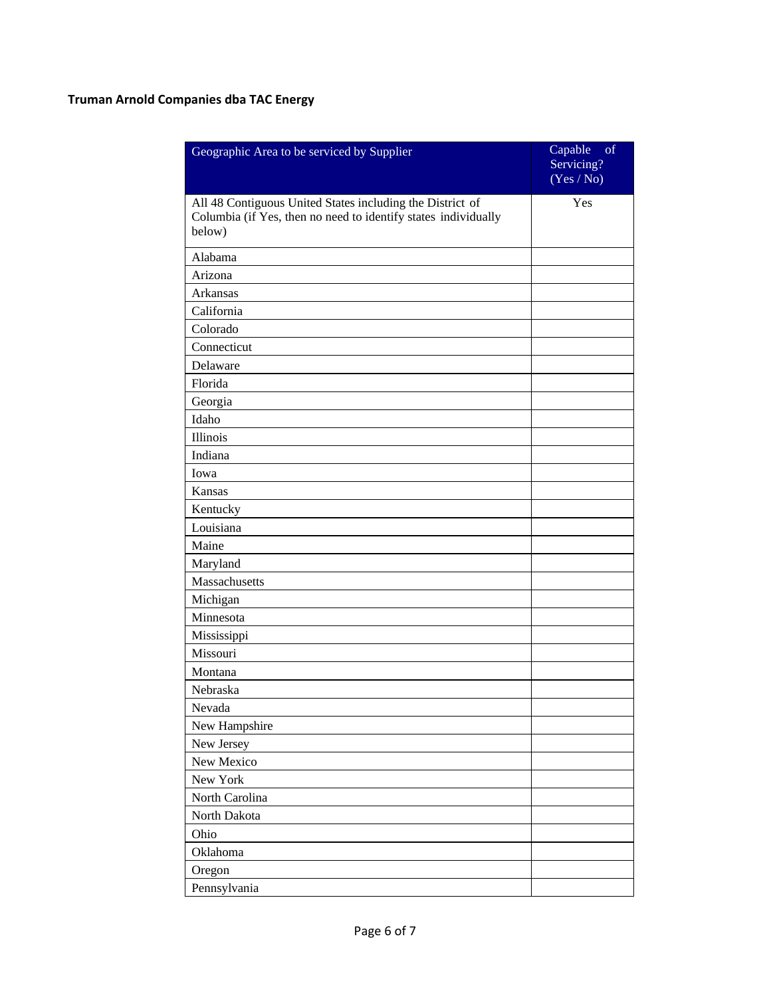# **Truman Arnold Companies dba TAC Energy**

| Geographic Area to be serviced by Supplier                                                                                            | of<br>Capable<br>Servicing?<br>(Yes / No) |
|---------------------------------------------------------------------------------------------------------------------------------------|-------------------------------------------|
| All 48 Contiguous United States including the District of<br>Columbia (if Yes, then no need to identify states individually<br>below) | Yes                                       |
| Alabama                                                                                                                               |                                           |
| Arizona                                                                                                                               |                                           |
| Arkansas                                                                                                                              |                                           |
| California                                                                                                                            |                                           |
| Colorado                                                                                                                              |                                           |
| Connecticut                                                                                                                           |                                           |
| Delaware                                                                                                                              |                                           |
| Florida                                                                                                                               |                                           |
| Georgia                                                                                                                               |                                           |
| Idaho                                                                                                                                 |                                           |
| Illinois                                                                                                                              |                                           |
| Indiana                                                                                                                               |                                           |
| Iowa                                                                                                                                  |                                           |
| Kansas                                                                                                                                |                                           |
| Kentucky                                                                                                                              |                                           |
| Louisiana                                                                                                                             |                                           |
| Maine                                                                                                                                 |                                           |
| Maryland                                                                                                                              |                                           |
| Massachusetts                                                                                                                         |                                           |
| Michigan                                                                                                                              |                                           |
| Minnesota                                                                                                                             |                                           |
| Mississippi                                                                                                                           |                                           |
| Missouri                                                                                                                              |                                           |
| Montana                                                                                                                               |                                           |
| Nebraska                                                                                                                              |                                           |
| Nevada                                                                                                                                |                                           |
| New Hampshire                                                                                                                         |                                           |
| New Jersey                                                                                                                            |                                           |
| New Mexico                                                                                                                            |                                           |
| New York                                                                                                                              |                                           |
| North Carolina                                                                                                                        |                                           |
| North Dakota                                                                                                                          |                                           |
| Ohio                                                                                                                                  |                                           |
| Oklahoma                                                                                                                              |                                           |
| Oregon                                                                                                                                |                                           |
| Pennsylvania                                                                                                                          |                                           |